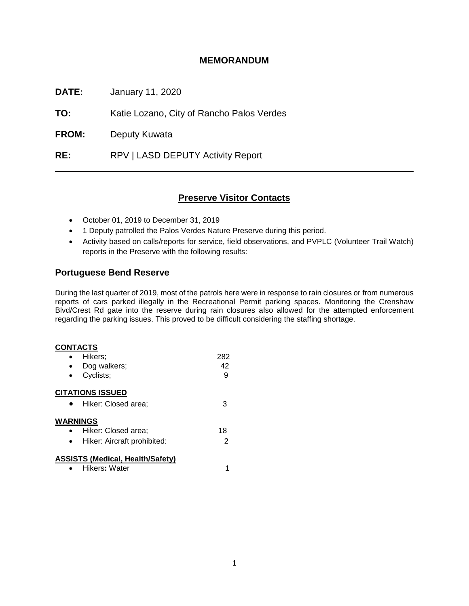# **MEMORANDUM**

**DATE:** January 11, 2020

**TO:** Katie Lozano, City of Rancho Palos Verdes

**FROM:** Deputy Kuwata

**RE:** RPV | LASD DEPUTY Activity Report

# **Preserve Visitor Contacts**

- October 01, 2019 to December 31, 2019
- 1 Deputy patrolled the Palos Verdes Nature Preserve during this period.
- Activity based on calls/reports for service, field observations, and PVPLC (Volunteer Trail Watch) reports in the Preserve with the following results:

# **Portuguese Bend Reserve**

During the last quarter of 2019, most of the patrols here were in response to rain closures or from numerous reports of cars parked illegally in the Recreational Permit parking spaces. Monitoring the Crenshaw Blvd/Crest Rd gate into the reserve during rain closures also allowed for the attempted enforcement regarding the parking issues. This proved to be difficult considering the staffing shortage.

#### **CONTACTS**

|                 | Hikers;                                 | 282 |
|-----------------|-----------------------------------------|-----|
|                 | Dog walkers;                            | 42  |
|                 | Cyclists;                               | 9   |
|                 | <b>CITATIONS ISSUED</b>                 |     |
|                 | Hiker: Closed area;                     | З   |
| <b>WARNINGS</b> |                                         |     |
|                 | Hiker: Closed area;                     | 18  |
|                 | Hiker: Aircraft prohibited:             | 2   |
|                 | <b>ASSISTS (Medical, Health/Safety)</b> |     |
|                 | Hikers: Water                           |     |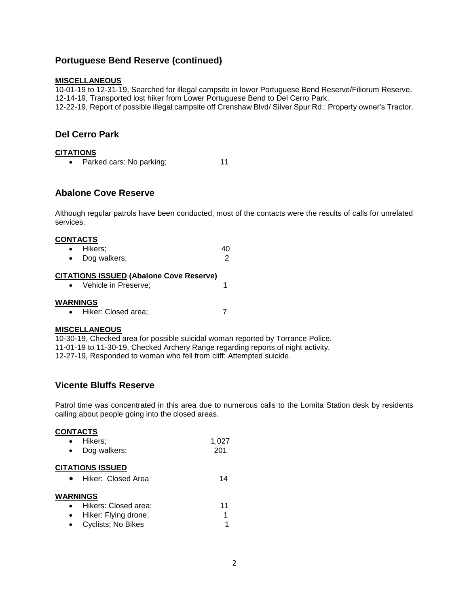# **Portuguese Bend Reserve (continued)**

### **MISCELLANEOUS**

10-01-19 to 12-31-19, Searched for illegal campsite in lower Portuguese Bend Reserve/Filiorum Reserve. 12-14-19, Transported lost hiker from Lower Portuguese Bend to Del Cerro Park. 12-22-19, Report of possible illegal campsite off Crenshaw Blvd/ Silver Spur Rd.: Property owner's Tractor.

# **Del Cerro Park**

### **CITATIONS**

| Parked cars: No parking; | 11 |
|--------------------------|----|
|                          |    |

## **Abalone Cove Reserve**

Although regular patrols have been conducted, most of the contacts were the results of calls for unrelated services.

### **CONTACTS**

| $\bullet$ | Hikers;      | 40 |
|-----------|--------------|----|
| $\bullet$ | Dog walkers; |    |

### **CITATIONS ISSUED (Abalone Cove Reserve)**

• Vehicle in Preserve; 1

### **WARNINGS**

• Hiker: Closed area; 7

## **MISCELLANEOUS**

10-30-19, Checked area for possible suicidal woman reported by Torrance Police. 11-01-19 to 11-30-19, Checked Archery Range regarding reports of night activity. 12-27-19, Responded to woman who fell from cliff: Attempted suicide.

## **Vicente Bluffs Reserve**

Patrol time was concentrated in this area due to numerous calls to the Lomita Station desk by residents calling about people going into the closed areas.

#### **CONTACTS**

|                 | Hikers:                 | 1,027 |
|-----------------|-------------------------|-------|
|                 | Dog walkers;            | 201   |
|                 | <b>CITATIONS ISSUED</b> |       |
|                 | Hiker: Closed Area      | 14    |
| <b>WARNINGS</b> |                         |       |
|                 | Hikers: Closed area;    | 11    |
|                 | Hiker: Flying drone;    | 1     |
|                 | Cyclists; No Bikes      | 1     |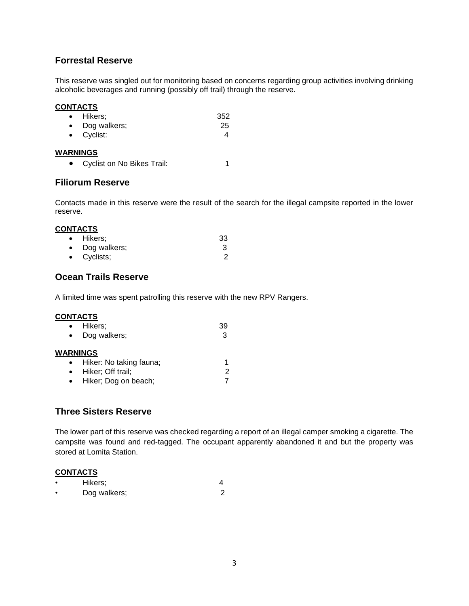# **Forrestal Reserve**

This reserve was singled out for monitoring based on concerns regarding group activities involving drinking alcoholic beverages and running (possibly off trail) through the reserve.

### **CONTACTS**

| • Hikers;              | 352 |
|------------------------|-----|
| $\bullet$ Dog walkers; | 25  |
| $\bullet$ Cyclist:     |     |

#### **WARNINGS**

• Cyclist on No Bikes Trail: 1

## **Filiorum Reserve**

Contacts made in this reserve were the result of the search for the illegal campsite reported in the lower reserve.

#### **CONTACTS**

| • Hikers:           | -33 |
|---------------------|-----|
| • Dog walkers;      |     |
| $\bullet$ Cyclists; |     |

## **Ocean Trails Reserve**

A limited time was spent patrolling this reserve with the new RPV Rangers.

### **CONTACTS**

|           | • Hikers;                            | 39 |
|-----------|--------------------------------------|----|
|           | Dog walkers;                         | 3  |
|           | <b>WARNINGS</b>                      |    |
|           | Hiker: No taking fauna;<br>$\bullet$ |    |
| $\bullet$ | Hiker; Off trail;                    | 2  |
|           | Hiker; Dog on beach;                 |    |

## **Three Sisters Reserve**

The lower part of this reserve was checked regarding a report of an illegal camper smoking a cigarette. The campsite was found and red-tagged. The occupant apparently abandoned it and but the property was stored at Lomita Station.

### **CONTACTS**

| Hikers;      |  |
|--------------|--|
| Dog walkers; |  |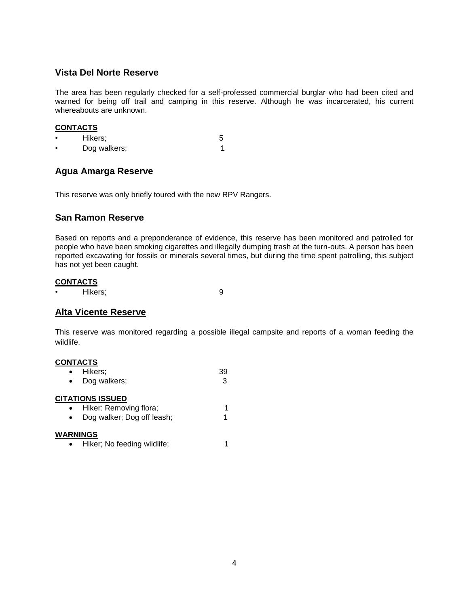# **Vista Del Norte Reserve**

The area has been regularly checked for a self-professed commercial burglar who had been cited and warned for being off trail and camping in this reserve. Although he was incarcerated, his current whereabouts are unknown.

### **CONTACTS**

• Hikers; 5 • Dog walkers;1

# **Agua Amarga Reserve**

This reserve was only briefly toured with the new RPV Rangers.

## **San Ramon Reserve**

Based on reports and a preponderance of evidence, this reserve has been monitored and patrolled for people who have been smoking cigarettes and illegally dumping trash at the turn-outs. A person has been reported excavating for fossils or minerals several times, but during the time spent patrolling, this subject has not yet been caught.

### **CONTACTS**

• Hikers; 9

## **Alta Vicente Reserve**

This reserve was monitored regarding a possible illegal campsite and reports of a woman feeding the wildlife.

### **CONTACTS**

| $\bullet$ | Hikers;      | 39 |
|-----------|--------------|----|
| $\bullet$ | Dog walkers; |    |

#### **CITATIONS ISSUED**

| Hiker: Removing flora;     |  |
|----------------------------|--|
| Dog wallcan Dog off loophy |  |

• Dog walker; Dog off leash; 1

#### **WARNINGS**

• Hiker; No feeding wildlife; 1